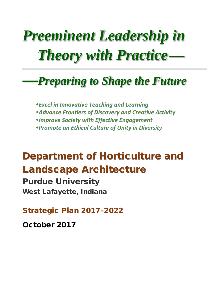# *Pree111i11e11t Leader* hip *iii Preeminent Leadership in*  **Theory with Practice—**

## $\longrightarrow$ **Preparing to Shape the Future**

*Excel in Innovative Teaching and Learning Advance Frontiers of Discovery and Creative Activity*  • Improve Society with Effective Engagement *Promote an Ethical Culture of Unity in Diversity* 

### Department of Horticulture and Landscape Architecture

Purdue University West Lafayette, Indiana

Strategic Plan 2017–2022

October 2017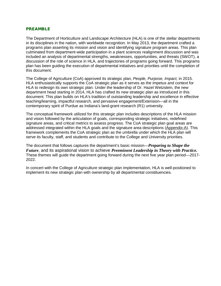#### PREAMBLE

 The Department of Horticulture and Landscape Architecture (HLA) is one of the stellar departments discussion of the role of science in HLA, and trajectories of programs going forward. This programs plan has been guiding the execution of departmental initiatives and priorities until the completion of in its disciplines in the nation, with worldwide recognition. In May 2013, the department crafted a programs plan asserting its mission and vision and identifying signature program areas. This plan culminated from department-wide participation in a plant sciences realignment discussion and was included an analysis of departmental strengths, weaknesses, opportunities, and threats (SWOT), a this document.

 HLA enthusiastically supports the CoA strategic plan as it serves as the impetus and context for HLA to redesign its own strategic plan. Under the leadership of Dr. Hazel Wetzstein, the new document. This plan builds on HLA's tradition of outstanding leadership and excellence in effective The College of Agriculture (CoA) approved its strategic plan, *People, Purpose, Impact,* in 2015. department head starting in 2014, HLA has crafted its new strategic plan as introduced in this teaching/learning, impactful research, and pervasive engagement/Extension—all in the contemporary spirit of Purdue as Indiana's land-grant research (R1) university.

The conceptual framework utilized for this strategic plan includes descriptions of the HLA mission and vision followed by the articulation of goals, corresponding strategic initiatives, redefined signature areas, and critical metrics to assess progress. The CoA strategic plan goal areas are addressed integrated within the HLA goals and the signature area descriptions (Appendix-A). This framework complements the CoA strategic plan as the umbrella under which the HLA plan will serve its faculty, staff, and students and contribute to the College and University priorities.

 These themes will guide the department going forward during the next five year plan period—2017- The document that follows captures the department's basic mission—*Preparing to Shape the Future*, and its aspirational vision to achieve *Preeminent Leadership in Theory with Practice.*  2022.

In concert with the College of Agriculture strategic plan implementation, HLA is well-positioned to implement its new strategic plan with ownership by all departmental constituencies.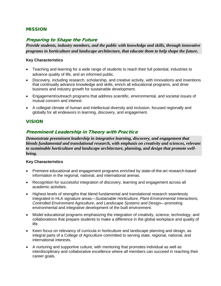#### MISSION

#### Preparing to Shape the Future

*Provide students, industry members, and the public with knowledge and skills, through innovative programs in horticulture and landscape architecture, that educate them to help shape the future.* 

#### **Key Characteristics**

- • Teaching and learning for a wide range of students to reach their full potential, industries to advance quality of life, and an informed public.
- business and industry growth for sustainable development. • Discovery, including research, scholarship, and creative activity, with innovations and inventions that continually advance knowledge and skills, enrich all educational programs, and drive
- Engagement/outreach programs that address scientific, environmental, and societal issues of mutual concern and interest.
- A collegial climate of human and intellectual diversity and inclusion, focused regionally and globally for all endeavors in learning, discovery, and engagement.

#### VISION

#### Preeminent Leadership in Theory with Practice

*Demonstrate preeminent leadership in integrative learning, discovery, and engagement that blends fundamental and translational research, with emphasis on creativity and sciences, relevant to sustainable horticulture and landscape architecture, planning, and design that promote wellbeing.* 

#### **Key Characteristics**

- Premiere educational and engagement programs enriched by state-of-the-art research-based information in the regional, national, and international arenas.
- Recognition for successful integration of discovery, learning and engagement across all academic activities.
- Highest levels of strengths that blend fundamental and translational research seamlessly integrated in HLA signature areas—*Sustainable Horticulture*, *Plant-Environmental Interactions, Controlled Environment Agriculture*, *and Landscape Systems and Design*—promoting environmental and integrative development of the built environment.
- Model educational programs emphasizing the integration of creativity, science, technology, and collaborations that prepare students to make a difference in the global workplace and quality of life.
- Keen focus on relevancy of curricula in horticulture and landscape planning and design, as integral parts of a College of Agriculture committed to serving state, regional, national, and international interests.
- A nurturing and supportive culture, with mentoring that promotes individual as well as interdisciplinary and collaborative excellence where *all* members can succeed in reaching their career goals.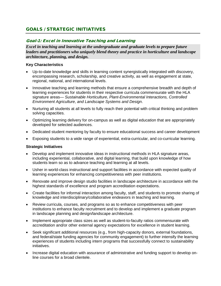#### GOALS / STRATEGIC INITIATIVES

#### Goal-1: Excel in Innovative Teaching and Learning

*Excel in teaching and learning at the undergraduate and graduate levels to prepare future leaders and practitioners who uniquely blend theory and practice in horticulture and landscape architecture, planning, and design.* 

#### **Key Characteristics**

- Up-to-date knowledge and skills in learning content synergistically integrated with discovery, encompassing research, scholarship, and creative activity, as well as engagement at state, regional, national, and international levels.
- Innovative teaching and learning methods that ensure a comprehensive breadth and depth of learning experiences for students in their respective curricula commensurate with the HLA signature areas— *Sustainable Horticulture*, *Plant-Environmental Interactions, Controlled Environment Agriculture*, *and Landscape Systems and Design*.
- • Nurturing all students at all levels to fully reach their potential with critical thinking and problem solving capacities.
- Optimizing learning delivery for on-campus as well as digital education that are appropriately developed for selected audiences.
- Dedicated student mentoring by faculty to ensure educational success and career development
- Exposing students to a wide range of experiential, extra-curricular, and co-curricular learning.

- Develop and implement innovative ideas in instructional methods in HLA signature areas, including experiential, collaborative, and digital learning, that build upon knowledge of how students learn so as to advance teaching and learning at all levels.
- Usher in world-class instructional and support facilities in accordance with expected quality of learning experiences for enhancing competitiveness with peer institutions.
- Renovate and improve design studio facilities in landscape architecture in accordance with the highest standards of excellence and program accreditation expectations.
- • Create facilities for informal interaction among faculty, staff, and students to promote sharing of knowledge and interdisciplinary/collaborative endeavors in teaching and learning.
- institutions to enhance faculty recruitment and to develop and implement a graduate program • Review curricula, courses, and programs so as to enhance competitiveness with peer in landscape planning and design/landscape architecture.
- accreditation and/or other external agency expectations for excellence in student learning. • Implement appropriate class sizes as well as student-to-faculty ratios commensurate with
- • Seek significant additional resources (e.g., from high-capacity donors, external foundations, and federal/state funding agencies for community engagement) to further intensify the learning experiences of students including intern programs that successfully connect to sustainability initiatives.
- line courses for a broad clientele. • Increase digital education with assurance of administrative and funding support to develop on-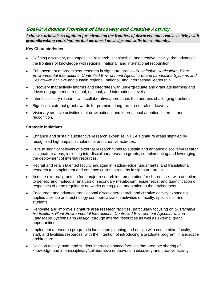#### Goal-2: Advance Frontiers of Discovery and Creative Activity

*Achieve worldwide recognition for advancing the frontiers of discovery and creative activity, with groundbreaking contributions that advance knowledge and skills internationally.* 

#### **Key Characteristics**

- the frontiers of knowledge with regional, national, and international recognition. • Defining discovery, encompassing research, scholarship, and creative activity, that advances
- Enhancement of preeminent research in signature areas—*Sustainable Horticulture*, *Plant-Environmental Interactions, Controlled Environment Agriculture*, *and Landscape Systems and Design*—to achieve and sustain regional, national, and international leadership.
- Discovery that actively informs and integrates with undergraduate and graduate learning and drives engagement at regional, national, and international levels.
- Interdisciplinary research with collaborative approaches that address challenging frontiers.
- Significant external grant awards for premiere, long-term research endeavors.
- Visionary creative activities that draw national and international attention, interest, and recognition.

- Enhance and sustain substantive research expertise in HLA signature areas signified by recognized high-impact scholarship, and creative activities.
- Pursue significant levels of external research funds to sustain and enhance discovery/research in signature areas, including interdisciplinary research grants, complementing and leveraging the deployment of internal resources.
- Recruit and retain talented faculty engaged in leading-edge fundamental and translational research to complement and enhance current strengths in signature areas.
- • Acquire external grants to fund major research instrumentation for shared use—with attention to genetic and molecular analysis of secondary metabolism, epigenetics, and quantification of responses of gene regulatory networks during plant adaptation to the environment.
- Encourage and advance translational discovery/research and creative activity expanding applied science and technology commercialization activities of faculty, specialists, and students.
- *Landscape Systems and Design*, through internal resources as well as external grant • Renovate and improve signature area research facilities, particularly focusing on *Sustainable Horticulture*, *Plant-Environmental Interactions, Controlled Environment Agriculture*, *and*  opportunities.
- staff, and facilities resources, with the intention of introducing a graduate program in landscape • Implement a research program in landscape planning and design with concomitant faculty, architecture.
- Develop faculty, staff, and student interaction space/facilities that promote sharing of knowledge and interdisciplinary/collaborative endeavors in discovery and creative activity.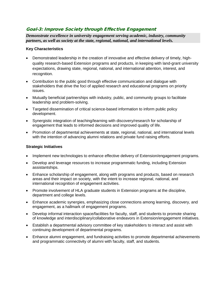#### Goal-3: Improve Society through Effective Engagement

*Demonstrate excellence in university engagement serving academic, industry, community partners, as well as society at the state, regional, national, and international levels.* 

#### **Key Characteristics**

- Demonstrated leadership in the creation of innovative and effective delivery of timely, highquality research-based Extension programs and products, in keeping with land-grant university expectations, drawing state, regional, national, and international attention, interest, and recognition.
- Contribution to the public good through effective communication and dialogue with stakeholders that drive the foci of applied research and educational programs on priority issues.
- Mutually beneficial partnerships with industry, public, and community groups to facilitate leadership and problem-solving.
- Targeted dissemination of critical science-based information to inform public policy development.
- Synergistic integration of teaching/learning with discovery/research for scholarship of engagement that leads to informed decisions and improved quality of life.
- • Promotion of departmental achievements at state, regional, national, and international levels with the intention of advancing alumni relations and private fund raising efforts.

- Implement new technologies to enhance effective delivery of Extension/engagement programs.
- Develop and leverage resources to increase programmatic funding, including Extension assistantships.
- Enhance scholarship of engagement, along with programs and products, based on research areas and their impact on society, with the intent to increase regional, national, and international recognition of engagement activities.
- Promote involvement of HLA graduate students in Extension programs at the discipline, department and college levels.
- Enhance academic synergies, emphasizing close connections among learning, discovery, and engagement, as a hallmark of engagement programs.
- • Develop informal interaction space/facilities for faculty, staff, and students to promote sharing of knowledge and interdisciplinary/collaborative endeavors in Extension/engagement initiatives.
- • Establish a departmental advisory committee of key stakeholders to interact and assist with continuing development of departmental programs.
- Enhance alumni engagement, and fundraising activities to promote departmental achievements and programmatic connectivity of alumni with faculty, staff, and students.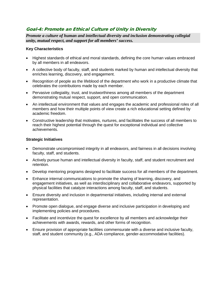#### Goal-4: Promote an Ethical Culture of Unity in Diversity

*Promote a culture of human and intellectual diversity and inclusion demonstrating collegial unity, mutual respect, and support for all members' success.* 

#### **Key Characteristics**

- Highest standards of ethical and moral standards, defining the core human values embraced by all members in all endeavors.
- • A collective body of faculty, staff, and students marked by human and intellectual diversity that enriches learning, discovery, and engagement.
- Recognition of people as the lifeblood of the department who work in a productive climate that celebrates the contributions made by each member.
- Pervasive collegiality, trust, and trustworthiness among all members of the department demonstrating mutual respect, support, and open communication.
- An intellectual environment that values and engages the academic and professional roles of all members and how their multiple points of view create a rich educational setting defined by academic freedom.
- reach their highest potential through the quest for exceptional individual and collective • Constructive leadership that motivates, nurtures, and facilitates the success of all members to achievements.

- Demonstrate uncompromised integrity in all endeavors, and fairness in all decisions involving faculty, staff, and students.
- Actively pursue human and intellectual diversity in faculty, staff, and student recruitment and retention.
- Develop mentoring programs designed to facilitate success for all members of the department.
- Enhance internal communications to promote the sharing of learning, discovery, and engagement initiatives, as well as interdisciplinary and collaborative endeavors, supported by physical facilities that catalyze interactions among faculty, staff, and students.
- Ensure diversity and inclusion in departmental initiatives, including internal and external representation.
- Promote open dialogue, and engage diverse and inclusive participation in developing and implementing policies and procedures.
- • Facilitate and incentivize the quest for excellence by all members and acknowledge their achievements with awards, rewards, and other forms of recognition.
- Ensure provision of appropriate facilities commensurate with a diverse and inclusive faculty, staff, and student community (e.g., ADA compliance, gender-accommodative facilities).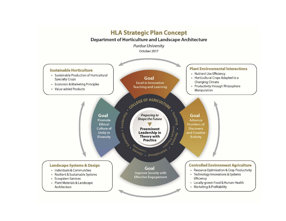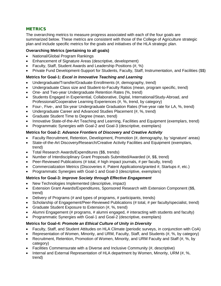#### **METRICS**

 The overarching metrics to measure progress associated with each of the four goals are plan and include specific metrics for the goals and initiatives of the HLA strategic plan. summarized below. These metrics are consistent with those of the College of Agriculture strategic

#### **Overarching Metrics (pertaining to all goals)**

- National/Global Program Rankings
- Enhancement of Signature Areas (descriptive, development)
- Faculty, Staff, Student Awards and Leadership Positions (#, %)
- Private Fund Development-Support for Students, Faculty, Staff, Instrumentation, and Facilities (\$\$)

#### **Metrics for Goal-1:** *Excel in Innovative Teaching and Learning*

- Undergraduate/Transfer/Graduate Enrollments (#, demography, trend)
- Undergraduate Class size and Student-to-Faculty Ratios (mean, program specific, trend)
- One- and Two-year Undergraduate Retention Rates (%, trend)
- • Students Engaged in Experiential, Collaborative, Digital, International/Study-Abroad, and Professional/Cooperative Learning Experiences (#, %, trend, by category)
- Four-, Five-, and Six-year Undergraduate Graduation Rates (Five-year rate for LA, %, trend)
- Undergraduate Career and Advanced Studies Placement (#, %, trend)
- Graduate Student Time to Degree (mean, trend)
- Innovative State-of-the-Art Teaching and Learning, Facilities and Equipment (exemplars, trend)
- Programmatic Synergies with Goal-2 and Goal-3 (descriptive, exemplars)

#### **Metrics for Goal-2:** *Advance Frontiers of Discovery and Creative Activity*

- Faculty Recruitment, Retention, Development, Promotion (#, demography, by 'signature' areas)
- State-of-the-Art Discovery/Research/Creative Activity Facilities and Equipment (exemplars, trend)
- Total Research Awards/Expenditures (\$\$, trends)
- Number of Interdisciplinary Grant Proposals Submitted/Awarded (#, \$\$, trend)
- Peer-Reviewed Publications (# total, # high impact journals, # per faculty, trend)
- Commercialization Metrics (Discoveries #, Patent Applications/granted #, Startups #, etc.)
- Programmatic Synergies with Goal-1 and Goal-3 (descriptive, exemplars)

#### **Metrics for Goal-3:** *Improve Society through Effective Engagement*

- New Technologies Implemented (descriptive, impact)
- • Extension Grant Awards/Expenditures, Sponsored Research with Extension Component (\$\$, trend)
- Delivery of Programs (# and types of programs, # participants, trends)
- Scholarship of Engagement/Peer-Reviewed Publications (# total, # per faculty/specialist, trend)
- Graduate Student Exposure to Extension (#, %, trend)
- Alumni Engagement (# programs, # alumni engaged, # interacting with students and faculty)
- Programmatic Synergies with Goal-1 and Goal-2 (descriptive, exemplars)

#### **Metrics for Goal-4:** *Promote an Ethical Culture of Unity in Diversity*

- Faculty, Staff, and Student Attitudes on HLA Climate (periodic surveys, in conjunction with CoA)
- Representation of Women, Minority, and URM, Faculty, Staff, and Students (#, %, by category)
- • Recruitment, Retention, Promotion of Women, Minority, and URM Faculty and Staff (#, %, by category)
- Facilities Commensurate with a Diverse and Inclusive Community (#, descriptive)
- • Internal and External Representation of HLA department by Women, Minority, URM (#, %, trend)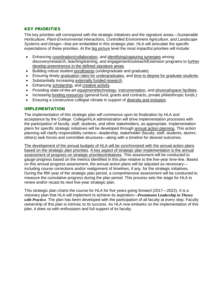#### KEY PRIORITIES

expectations of these priorities. At the big picture level the most impactful priorities will include: The key priorities will correspond with the strategic initiatives and the signature areas—*Sustainable Horticulture*, *Plant-Environmental Interactions, Controlled Environment Agriculture*, *and Landscape Systems and Design*—that are embedded in this strategic plan. HLA will articulate the specific

- Enhancing coordination/collaboration, and identifying/capturing synergies among discovery/research, teaching/earning, and engagement/outreach/Extension programs to further develop preeminence in the defined signature areas.
- Building robust student enrollments (undergraduate and graduate).
- Ensuring timely graduation rates for undergraduates, and time to degree for graduate students.
- Substantially increasing externally funded research.
- Enhancing scholarship, and creative activity.
- Providing state-of-the-art equipment/technology, instrumentation, and physical/space facilities.
- Increasing funding resources (general fund, grants and contracts, private philanthropic funds.)
- Ensuring a constructive collegial climate in support of diversity and inclusion.

#### IMPLEMENTATION

 planning will clarify responsibility centers—leadership, stakeholder (faculty, staff, students, alumni, The implementation of this strategic plan will commence upon its finalization by HLA and acceptance by the College. College/HLA administration will drive implementation processes with the participation of faculty, staff, students, and other stakeholders, as appropriate. Implementation plans for specific strategic initiatives will be developed through annual action planning. This action others) task forces and committee structures—along with a timeline for desired outcomes.

 based on the strategic plan priorities. A key aspect of strategic plan implementation is the annual including course corrections and/or realignment of timelines, if any, for the strategic initiatives. During the fifth year of the strategic plan period, a comprehensive assessment will be conducted to The development of the annual budgets of HLA will be synchronized with the annual action plans assessment of progress on strategic priorities/initiatives. This assessment will be conducted to gauge progress based on the metrics identified in this plan relative to the five-year time-line. Based on this annual progress assessment, the annual action plans will be adjusted as necessary measure the cumulative progress during the plan period. This process sets the stage for HLA to renew and/or recast its next five-year strategic plan.

 This strategic plan charts the course for HLA for five years going forward (2017—2022). It is a ownership of this plan is intrinsic to its success. As HLA now embarks on the implementation of this plan, it does so with enthusiasm and full support of its faculty. visionary plan that HLA will implement to achieve its aspiration—*Preeminent Leadership in Theory with Practice*. The plan has been developed with the participation of all faculty at every step. Faculty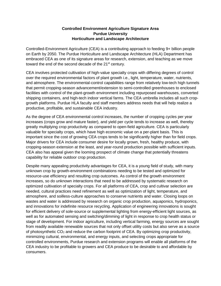#### **Controlled Environment Agriculture Signature Area Purdue University Horticulture and Landscape Architecture**

 embraced CEA as one of its signature areas for research, extension, and teaching as we move Controlled-Environment Agriculture (CEA) is a contributing approach to feeding 9+ billion people on Earth by 2050. The Purdue Horticulture and Landscape Architecture (HLA) Department has toward the end of the second decade of the 21<sup>st</sup> century.

 and atmosphere. The environmental-control capabilities range from relatively low-tech high tunnels shipping containers, and high-tech indoor vertical farms. The CEA umbrella includes all such crop- growth platforms. Purdue HLA faculty and staff members address needs that will help realize a CEA involves protected cultivation of high-value specialty crops with differing degrees of control over the required environmental factors of plant growth i.e., light, temperature, water, nutrients, that permit cropping-season advancement/extension to semi-controlled greenhouses to enclosed facilities with control of the plant-growth environment including repurposed warehouses, converted productive, profitable, and sustainable CEA industry.

 increases (crops grow and mature faster), and yield per cycle tends to increase as well, thereby valuable for specialty crops, which have high economic value on a per-plant basis. This is important since the cost of growing CEA crops tends to be significantly higher than for field crops. As the degree of CEA environmental control increases, the number of cropping cycles per year greatly multiplying crop productivity as compared to open-field agriculture. CEA is particularly Major drivers for CEA include consumer desire for locally grown, fresh, healthy produce, with cropping-season extension at the least, and year-round production possible with sufficient inputs. CEA also has appeal given the looming prospect of climate change that potentially threatens capability for reliable outdoor crop production.

 Despite many appealing productivity advantages for CEA, it is a young field of study, with many from readily available renewable sources that not only offset utility costs but also serve as a source unknown crop by growth-environment combinations needing to be tested and optimized for resource-use efficiency and resulting crop outcomes. As control of the growth environment increases, so do unknown interactions that need to be addressed by systematic research on optimized cultivation of specialty crops. For all platforms of CEA, crop and cultivar selection are needed, cultural practices need refinement as well as optimization of light, temperature, and atmosphere, and soilless-culture approaches to conserve nutrients and water. Closing loops on wastes and water is addressed by research on organic crop production, aquaponics, hydroponics, and innovations for indefinite resource recycling. Application of engineering innovations is sought for efficient delivery of sole-source or supplemental lighting from energy-efficient light sources, as well as for automated sensing and switching/dimming of light in response to crop health status or stage of development. For indoor agriculture, including vertical farming, energy sources are sought of photosynthetic  $CO<sub>2</sub>$  and reduce the carbon footprint of CEA. By optimizing crop productivity, minimizing cultural, environmental, and energy inputs, and selecting crops appropriate for controlled environments, Purdue research and extension programs will enable all platforms of the CEA industry to be profitable to growers and CEA produce to be desirable to and affordable by consumers.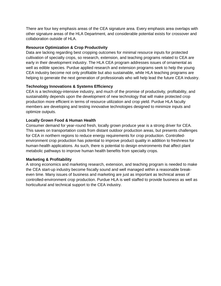There are four key emphasis areas of the CEA signature area. Every emphasis area overlaps with other signature areas of the HLA Department, and considerable potential exists for crossover and collaboration outside of HLA.

#### **Resource Optimization & Crop Productivity**

 Data are lacking regarding best cropping outcomes for minimal resource inputs for protected cultivation of specialty crops, so research, extension, and teaching programs related to CEA are early in their development industry. The HLA CEA program addresses issues of ornamental as well as edible species. Purdue applied research and extension programs seek to help the young CEA industry become not only profitable but also sustainable, while HLA teaching programs are helping to generate the next generation of professionals who will help lead the future CEA industry.

#### **Technology Innovations & Systems Efficiency**

 production more efficient in terms of resource utilization and crop yield. Purdue HLA faculty CEA is a technology-intensive industry, and much of the promise of productivity, profitability, and sustainability depends upon the development of new technology that will make protected crop members are developing and testing innovative technologies designed to minimize inputs and optimize outputs.

#### **Locally Grown Food & Human Health**

 Consumer demand for year-round fresh, locally grown produce year is a strong driver for CEA. environment crop production has potential to improve product quality in addition to freshness for human-health applications. As such, there is potential to design environments that affect plant This saves on transportation costs from distant outdoor production areas, but presents challenges for CEA in northern regions to reduce energy requirements for crop production. Controlledmetabolic pathways to improve human health benefits from specialty crops.

#### **Marketing & Profitability**

A strong economics and marketing research, extension, and teaching program is needed to make the CEA start-up industry become fiscally sound and well managed within a reasonable breakeven time. Many issues of business and marketing are just as important as technical areas of controlled-environment crop production. Purdue HLA is well staffed to provide business as well as horticultural and technical support to the CEA industry.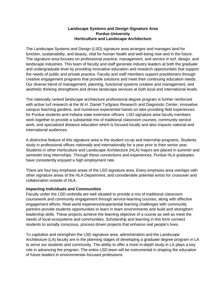#### **Landscape Systems and Design Signature Area Purdue University Horticulture and Landscape Architecture**

 The Landscape Systems and Design (LSD) signature area arranges and manages land for the needs of public and private practice. Faculty and staff members support practitioners through function, sustainability, and beauty, vital for human health and well-being now and in the future. The signature area focuses on professional practice, management, and service in turf, design, and landscape industries. This team of faculty and staff generate industry leaders at both the graduate and undergraduate level by providing innovative education and research opportunities that support creative engagement programs that provide solutions and meet their continuing education needs. Our diverse blend of management, planning, functional systems creation and management, and aesthetic thinking strengthens and drives landscape services at both local and international levels.

 The nationally ranked landscape architecture professional degree program is further reinforced for Purdue students and Indiana state extension officers. LSD signature area faculty members work together to provide a substantial mix of traditional classroom courses, community service with active turf research at the W.H. Daniel Turfgrass Research and Diagnostic Center, innovative campus teaching gardens, and numerous experiential hands-on labs providing field experiences work, and specialized distance education which is focused locally and also impacts national and international audiences.

 semester long internships. Through these connections and experiences, Purdue HLA graduates A distinctive feature of this signature area is the student co-op and internship programs. Students study in professional offices nationally and internationally for a year prior to their senior year. Students in other Horticulture and Landscape Architecture (HLA) majors are placed in summer and have consistently enjoyed a high employment rate.

There are four key emphasis areas of the LSD signature area. Every emphasis area overlaps with other signature areas of the HLA Department, and considerable potential exists for crossover and collaboration outside of HLA.

#### **Impacting Individuals and Communities**

 leadership skills. These projects achieve the learning objective of a course as well as meet the Faculty under the LSD umbrella are well situated to provide a mix of traditional classroom coursework and community engagement through service-learning courses, along with effective engagement efforts. Real world experience/experiential learning challenges with community partners provide students opportunities to learn in team environments and build and strengthen needs of local ecosystems and communities. Scholarship and learning in this form connect students to socially conscious, process driven projects that enhance real people's lives.

 to serve our students and community. The ability to offer a more in-depth study in LA plays a key To capitalize and strengthen the LSD signature area, administration and the Landscape Architecture (LA) faculty are in the planning stages of developing a graduate degree program in LA role in advancing the program. The entire LSD team will be instrumental in shaping the education of future leaders in environmental–focused professions.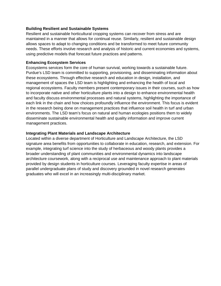#### **Building Resilient and Sustainable Systems**

 Resilient and sustainable horticultural cropping systems can recover from stress and are maintained in a manner that allows for continual reuse. Similarly, resilient and sustainable design using predictive models that forecast future practices and patterns. allows spaces to adapt to changing conditions and be transformed to meet future community needs. These efforts involve research and analysis of historic and current economies and systems,

#### **Enhancing Ecosystem Services**

 Ecosystems services form the core of human survival, working towards a sustainable future. each link in the chain and how choices profoundly influence the environment. This focus is evident management practices. Purdue's LSD team is committed to supporting, provisioning, and disseminating information about these ecosystems. Through effective research and education in design, installation, and management of spaces the LSD team is highlighting and enhancing the health of local and regional ecosystems. Faculty members present contemporary issues in their courses, such as how to incorporate native and other horticulture plants into a design to enhance environmental health and faculty discuss environmental processes and natural systems, highlighting the importance of in the research being done on management practices that influence soil health in turf and urban environments. The LSD team's focus on natural and human ecologies positions them to widely disseminate sustainable environmental health and quality information and improve current

#### **Integrating Plant Materials and Landscape Architecture**

 Located within a diverse department of Horticulture and Landscape Architecture, the LSD provided by design students in horticulture courses. Leveraging faculty expertise in areas of signature area benefits from opportunities to collaborate in education, research, and extension. For example, integrating turf science into the study of herbaceous and woody plants provides a broader understanding of plant communities and environmental dynamics into landscape architecture coursework, along with a reciprocal use and maintenance approach to plant materials parallel undergraduate plans of study and discovery grounded in novel research generates graduates who will excel in an increasingly multi-disciplinary market.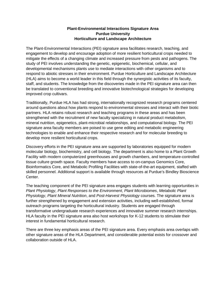#### **Plant-Environmental Interactions Signature Area Purdue University Horticulture and Landscape Architecture**

 engagement to develop and encourage adoption of more resilient horticultural crops needed to study of PEI involves understanding the genetic, epigenetic, biochemical, cellular, and (HLA) aims to become a world leader in this field through the synergistic activities of its faculty, The Plant-Environmental Interactions (PEI) signature area facilitates research, teaching, and mitigate the effects of a changing climate and increased pressure from pests and pathogens. The developmental mechanisms plants use to mediate interactions with other organisms and to respond to abiotic stresses in their environment. Purdue Horticulture and Landscape Architecture staff, and students. The knowledge from the discoveries made in the PEI signature area can then be translated to conventional breeding and innovative biotechnological strategies for developing improved crop cultivars.

 partners. HLA retains robust research and teaching programs in these areas and has been strengthened with the recruitment of new faculty specializing in natural product metabolism, mineral nutrition, epigenetics, plant-microbial relationships, and computational biology. The PEI technologies to enable and enhance their respective research and for molecular breeding to Traditionally, Purdue HLA has had strong, internationally recognized research programs centered around questions about how plants respond to environmental stresses and interact with their biotic signature area faculty members are poised to use gene editing and metabolic engineering develop more resilient horticultural crops.

 tissue culture growth space. Faculty members have access to on-campus Genomics Core, Discovery efforts in the PEI signature area are supported by laboratories equipped for modern molecular biology, biochemistry, and cell biology. The department is also home to a Plant Growth Facility with modern computerized greenhouses and growth chambers, and temperature-controlled Bioinformatics Core, and Metabolic Profiling Facilities with state-of-the-art equipment, staffed with skilled personnel. Additional support is available through resources at Purdue's Bindley Bioscience Center.

 *Physiology*, *Plant Mineral Nutrition*, and *Post-Harvest Physiology* courses. The signature area is The teaching component of the PEI signature area engages students with learning opportunities in *Plant Physiology*, *Plant Responses to the Environment*, *Plant Microbiomes*, *Metabolic Plant*  further strengthened by engagement and extension activities, including well-established, formal outreach programs targeting the horticultural industry. Students are engaged through transformative undergraduate research experiences and innovative summer research internships. HLA faculty in the PEI signature area also host workshops for K-12 students to stimulate their interest in fundamental horticultural research.

 collaboration outside of HLA. There are three key emphasis areas of the PEI signature area. Every emphasis area overlaps with other signature areas of the HLA Department, and considerable potential exists for crossover and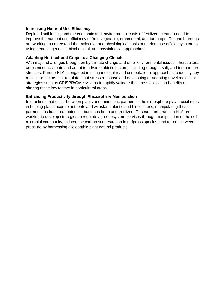#### **Increasing Nutrient Use Efficiency**

 Depleted soil fertility and the economic and environmental costs of fertilizers create a need to using genetic, genomic, biochemical, and physiological approaches. improve the nutrient use efficiency of fruit, vegetable, ornamental, and turf crops. Research groups are working to understand the molecular and physiological basis of nutrient use efficiency in crops

#### **Adapting Horticultural Crops to a Changing Climate**

 With major challenges brought on by climate change and other environmental issues, horticultural stresses. Purdue HLA is engaged in using molecular and computational approaches to identify key strategies such as CRISPR/Cas systems to rapidly validate the stress alleviation benefits of crops must acclimate and adapt to adverse abiotic factors, including drought, salt, and temperature molecular factors that regulate plant stress response and developing or adapting novel molecular altering these key factors in horticultural crops.

#### **Enhancing Productivity through Rhizosphere Manipulation**

 Interactions that occur between plants and their biotic partners in the rhizosphere play crucial roles working to develop strategies to regulate agroecosystem services through manipulation of the soil pressure by harnessing allelopathic plant natural products. in helping plants acquire nutrients and withstand abiotic and biotic stress; manipulating these partnerships has great potential, but it has been underutilized. Research programs in HLA are microbial community, to increase carbon sequestration in turfgrass species, and to reduce weed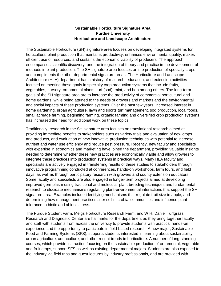#### **Sustainable Horticulture Signature Area Purdue University Horticulture and Landscape Architecture**

 The Sustainable Horticulture (SH) signature area focuses on developing integrated systems for horticultural plant production that maintains productivity, enhances environmental quality, makes methods in plant production. The SH signature area focuses on the production of specialty crops focused on meeting these goals in specialty crop production systems that include fruits, and social impacts of these production systems. Over the past few years, increased interest in home gardening, urban agriculture, lawn and sports turf management, sod production, local foods, small acreage farming, beginning farming, organic farming and diversified crop production systems efficient use of resources, and sustains the economic viability of producers. The approach encompasses scientific discovery, and the integration of theory and practice in the development of and compliments the other departmental signature areas. The Horticulture and Landscape Architecture (HLA) department has a history of research, education, and extension activities vegetables, nursery, ornamental plants, turf (sod), mint, and hop among others. The long-term goals of the SH signature area are to increase the productivity of commercial horticultural and home gardens, while being attuned to the needs of growers and markets and the environmental has increased the need for additional work on these topics.

 specialists are actively engaged in transferring results of these studies to stakeholders through research to elucidate mechanisms regulating plant-environmental interactions that support the SH Traditionally, research in the SH signature area focuses on translational research aimed at providing immediate benefits to stakeholders such as variety trials and evaluation of new crops and products, and evaluation of new innovative production techniques with potential to increase nutrient and water use efficiency and reduce pest pressure. Recently, new faculty and specialists with expertise in economics and marketing have joined the department, providing valuable insights needed to determine whether these new practices are economically viable and allow growers to integrate these practices into production systems in practical ways. Many HLA faculty and innovative programming conducted at conferences, hands-on workshops, farm tours, and field days, as well as through participatory research with growers and county extension educators. Some faculty and specialists are also engaged in longer-term projects aimed at developing improved germplasm using traditional and molecular plant breeding techniques and fundamental signature area. Examples include identifying mechanisms that regulate fruit size in apple, and determining how management practices alter soil microbial communities and influence plant tolerance to biotic and abiotic stress.

 Research and Diagnostic Center are hallmarks for the department as they bring together faculty The Purdue Student Farm, Meigs Horticulture Research Farm, and W.H. Daniel Turfgrass and staff with students from across the university to provide students with practical hands-on experience and the opportunity to participate in field-based research. A new major, Sustainable Food and Farming Systems (SFS), supports students interested in learning about sustainability, urban agriculture, aquaculture, and other recent trends in horticulture. A number of long-standing courses, which provide instruction focusing on the sustainable production of ornamental, vegetable and fruit crops, support SFS as well as existing departmental majors. Students are also exposed to the industry via field trips and guest lectures by industry professionals, and are provided with